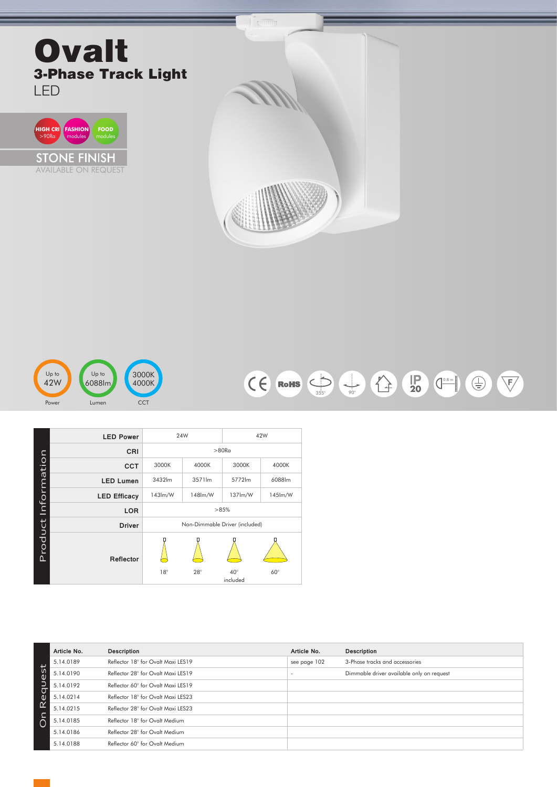## **Ovalt** 3-Phase Track Light LED









|                     | <b>LED Power</b>    |                                | 24W        | 42W          |            |  |  |  |
|---------------------|---------------------|--------------------------------|------------|--------------|------------|--|--|--|
| Product Information | CRI                 | >80R <sub>G</sub>              |            |              |            |  |  |  |
|                     | <b>CCT</b>          | 3000K                          | 4000K      | 3000K        | 4000K      |  |  |  |
|                     | <b>LED Lumen</b>    | 3432lm                         | 3571lm     | 5772lm       | 6088lm     |  |  |  |
|                     | <b>LED Efficacy</b> | 143lm/W                        | 148lm/W    | 137lm/W      | 145lm/W    |  |  |  |
|                     | <b>LOR</b>          | >85%                           |            |              |            |  |  |  |
|                     | <b>Driver</b>       | Non-Dimmable Driver (included) |            |              |            |  |  |  |
|                     | Reflector           | $18^\circ$                     | $28^\circ$ | $40^{\circ}$ | $60^\circ$ |  |  |  |
|                     |                     | included                       |            |              |            |  |  |  |

|          | Article No. | <b>Description</b>                 | Article No.  | Description                               |
|----------|-------------|------------------------------------|--------------|-------------------------------------------|
|          | 5.14.0189   | Reflector 18° for Ovalt Maxi LES19 | see page 102 | 3-Phase tracks and accessories            |
| es       | 5.14.0190   | Reflector 28° for Ovalt Maxi LES19 |              | Dimmable driver available only on request |
| equ      | 5.14.0192   | Reflector 60° for Ovalt Maxi LES19 |              |                                           |
|          | 5.14.0214   | Reflector 18° for Ovalt Maxi LES23 |              |                                           |
| $\alpha$ | 5.14.0215   | Reflector 28° for Ovalt Maxi LES23 |              |                                           |
|          | 5.14.0185   | Reflector 18° for Ovalt Medium     |              |                                           |
|          | 5.14.0186   | Reflector 28° for Ovalt Medium     |              |                                           |
|          | 5.14.0188   | Reflector 60° for Ovalt Medium     |              |                                           |